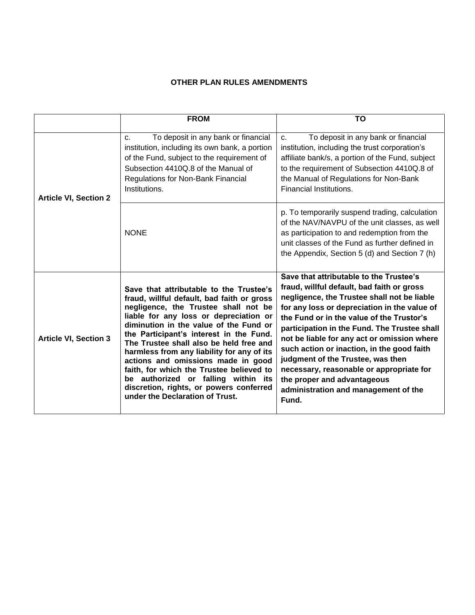## **OTHER PLAN RULES AMENDMENTS**

|                              | <b>FROM</b>                                                                                                                                                                                                                                                                                                                                                                                                                                                                                                                                                  | ΤO                                                                                                                                                                                                                                                                                                                                                                                                                                                                                                                                              |
|------------------------------|--------------------------------------------------------------------------------------------------------------------------------------------------------------------------------------------------------------------------------------------------------------------------------------------------------------------------------------------------------------------------------------------------------------------------------------------------------------------------------------------------------------------------------------------------------------|-------------------------------------------------------------------------------------------------------------------------------------------------------------------------------------------------------------------------------------------------------------------------------------------------------------------------------------------------------------------------------------------------------------------------------------------------------------------------------------------------------------------------------------------------|
| <b>Article VI, Section 2</b> | To deposit in any bank or financial<br>C <sub>1</sub><br>institution, including its own bank, a portion<br>of the Fund, subject to the requirement of<br>Subsection 4410Q.8 of the Manual of<br><b>Regulations for Non-Bank Financial</b><br>Institutions.                                                                                                                                                                                                                                                                                                   | To deposit in any bank or financial<br>$C_{1}$<br>institution, including the trust corporation's<br>affiliate bank/s, a portion of the Fund, subject<br>to the requirement of Subsection 4410Q.8 of<br>the Manual of Regulations for Non-Bank<br>Financial Institutions.                                                                                                                                                                                                                                                                        |
|                              | <b>NONE</b>                                                                                                                                                                                                                                                                                                                                                                                                                                                                                                                                                  | p. To temporarily suspend trading, calculation<br>of the NAV/NAVPU of the unit classes, as well<br>as participation to and redemption from the<br>unit classes of the Fund as further defined in<br>the Appendix, Section 5 (d) and Section 7 (h)                                                                                                                                                                                                                                                                                               |
| <b>Article VI, Section 3</b> | Save that attributable to the Trustee's<br>fraud, willful default, bad faith or gross<br>negligence, the Trustee shall not be<br>liable for any loss or depreciation or<br>diminution in the value of the Fund or<br>the Participant's interest in the Fund.<br>The Trustee shall also be held free and<br>harmless from any liability for any of its<br>actions and omissions made in good<br>faith, for which the Trustee believed to<br>be authorized or falling within its<br>discretion, rights, or powers conferred<br>under the Declaration of Trust. | Save that attributable to the Trustee's<br>fraud, willful default, bad faith or gross<br>negligence, the Trustee shall not be liable<br>for any loss or depreciation in the value of<br>the Fund or in the value of the Trustor's<br>participation in the Fund. The Trustee shall<br>not be liable for any act or omission where<br>such action or inaction, in the good faith<br>judgment of the Trustee, was then<br>necessary, reasonable or appropriate for<br>the proper and advantageous<br>administration and management of the<br>Fund. |